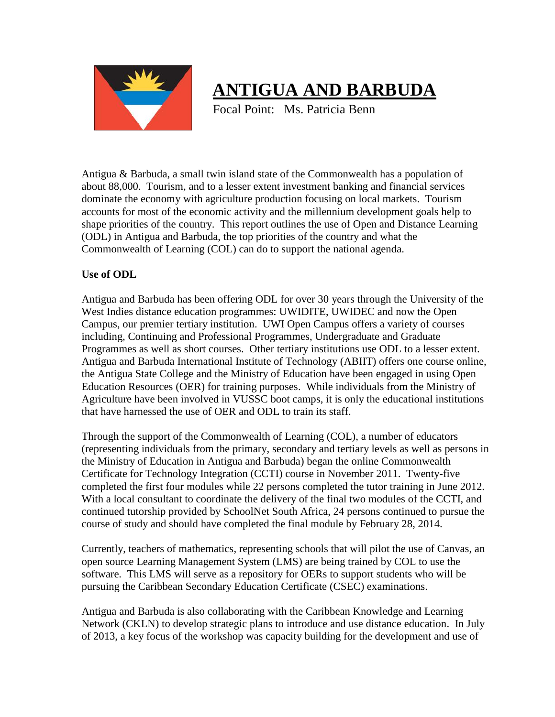

## **ANTIGUA AND BARBUDA**

Focal Point: Ms. Patricia Benn

Antigua & Barbuda, a small twin island state of the Commonwealth has a population of about 88,000. Tourism, and to a lesser extent investment banking and financial services dominate the economy with agriculture production focusing on local markets. Tourism accounts for most of the economic activity and the millennium development goals help to shape priorities of the country. This report outlines the use of Open and Distance Learning (ODL) in Antigua and Barbuda, the top priorities of the country and what the Commonwealth of Learning (COL) can do to support the national agenda.

## **Use of ODL**

Antigua and Barbuda has been offering ODL for over 30 years through the University of the West Indies distance education programmes: UWIDITE, UWIDEC and now the Open Campus, our premier tertiary institution. UWI Open Campus offers a variety of courses including, Continuing and Professional Programmes, Undergraduate and Graduate Programmes as well as short courses. Other tertiary institutions use ODL to a lesser extent. Antigua and Barbuda International Institute of Technology (ABIIT) offers one course online, the Antigua State College and the Ministry of Education have been engaged in using Open Education Resources (OER) for training purposes. While individuals from the Ministry of Agriculture have been involved in VUSSC boot camps, it is only the educational institutions that have harnessed the use of OER and ODL to train its staff.

Through the support of the Commonwealth of Learning (COL), a number of educators (representing individuals from the primary, secondary and tertiary levels as well as persons in the Ministry of Education in Antigua and Barbuda) began the online Commonwealth Certificate for Technology Integration (CCTI) course in November 2011. Twenty-five completed the first four modules while 22 persons completed the tutor training in June 2012. With a local consultant to coordinate the delivery of the final two modules of the CCTI, and continued tutorship provided by SchoolNet South Africa, 24 persons continued to pursue the course of study and should have completed the final module by February 28, 2014.

Currently, teachers of mathematics, representing schools that will pilot the use of Canvas, an open source Learning Management System (LMS) are being trained by COL to use the software. This LMS will serve as a repository for OERs to support students who will be pursuing the Caribbean Secondary Education Certificate (CSEC) examinations.

Antigua and Barbuda is also collaborating with the Caribbean Knowledge and Learning Network (CKLN) to develop strategic plans to introduce and use distance education. In July of 2013, a key focus of the workshop was capacity building for the development and use of